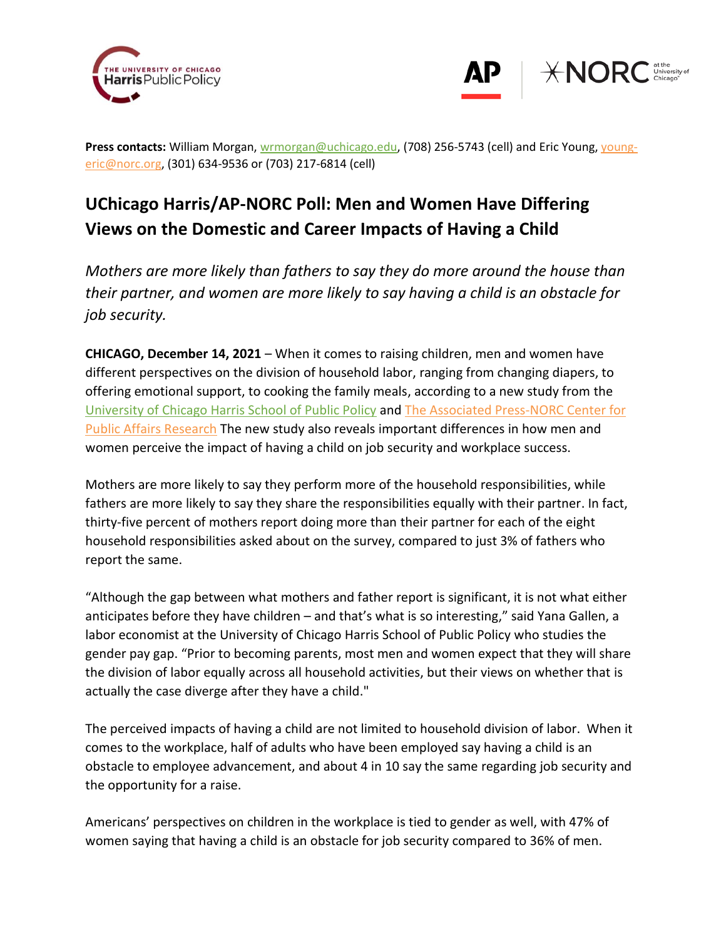



Press contacts: William Morgan, [wrmorgan@uchicago.edu,](mailto:wrmorgan@uchicago.edu) (708) 256-5743 (cell) and Eric Young, [young](mailto:young-eric@norc.org)[eric@norc.org,](mailto:young-eric@norc.org) (301) 634-9536 or (703) 217-6814 (cell)

# **UChicago Harris/AP-NORC Poll: Men and Women Have Differing Views on the Domestic and Career Impacts of Having a Child**

*Mothers are more likely than fathers to say they do more around the house than their partner, and women are more likely to say having a child is an obstacle for job security.* 

**CHICAGO, December 14, 2021** – When it comes to raising children, men and women have different perspectives on the division of household labor, ranging from changing diapers, to offering emotional support, to cooking the family meals, according to a new study from the [University of Chicago Harris School of Public Policy](https://harris.uchicago.edu/) and [The Associated Press-NORC Center for](http://www.apnorc.org/)  [Public Affairs Research](http://www.apnorc.org/) The new study also reveals important differences in how men and women perceive the impact of having a child on job security and workplace success.

Mothers are more likely to say they perform more of the household responsibilities, while fathers are more likely to say they share the responsibilities equally with their partner. In fact, thirty-five percent of mothers report doing more than their partner for each of the eight household responsibilities asked about on the survey, compared to just 3% of fathers who report the same.

"Although the gap between what mothers and father report is significant, it is not what either anticipates before they have children – and that's what is so interesting," said Yana Gallen, a labor economist at the University of Chicago Harris School of Public Policy who studies the gender pay gap. "Prior to becoming parents, most men and women expect that they will share the division of labor equally across all household activities, but their views on whether that is actually the case diverge after they have a child."

The perceived impacts of having a child are not limited to household division of labor. When it comes to the workplace, half of adults who have been employed say having a child is an obstacle to employee advancement, and about 4 in 10 say the same regarding job security and the opportunity for a raise.

Americans' perspectives on children in the workplace is tied to gender as well, with 47% of women saying that having a child is an obstacle for job security compared to 36% of men.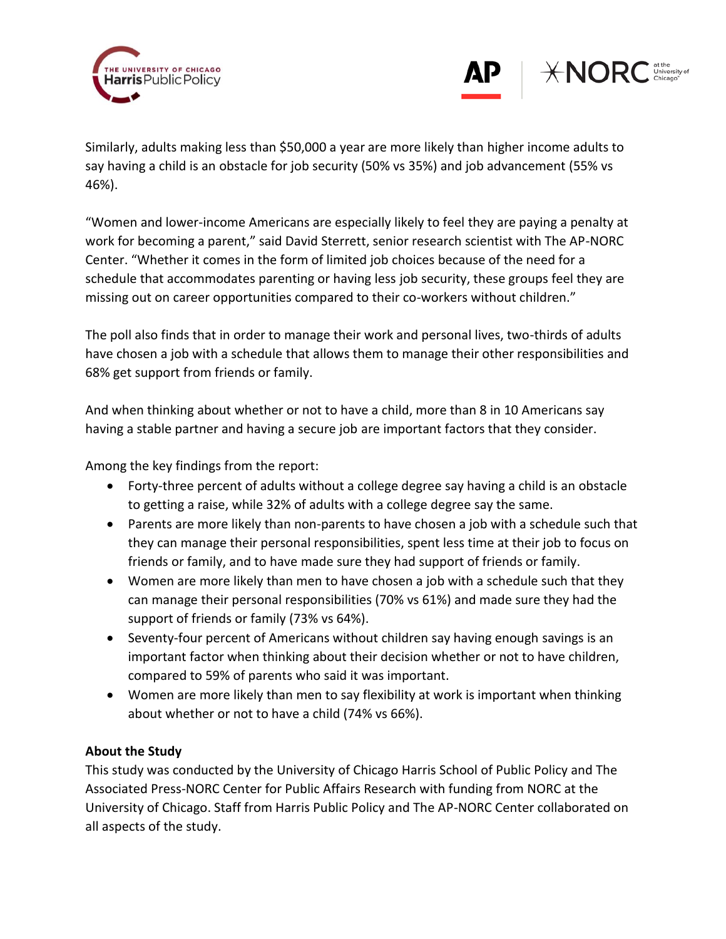



Similarly, adults making less than \$50,000 a year are more likely than higher income adults to say having a child is an obstacle for job security (50% vs 35%) and job advancement (55% vs 46%).

"Women and lower-income Americans are especially likely to feel they are paying a penalty at work for becoming a parent," said David Sterrett, senior research scientist with The AP-NORC Center. "Whether it comes in the form of limited job choices because of the need for a schedule that accommodates parenting or having less job security, these groups feel they are missing out on career opportunities compared to their co-workers without children."

The poll also finds that in order to manage their work and personal lives, two-thirds of adults have chosen a job with a schedule that allows them to manage their other responsibilities and 68% get support from friends or family.

And when thinking about whether or not to have a child, more than 8 in 10 Americans say having a stable partner and having a secure job are important factors that they consider.

Among the key findings from the report:

- Forty-three percent of adults without a college degree say having a child is an obstacle to getting a raise, while 32% of adults with a college degree say the same.
- Parents are more likely than non-parents to have chosen a job with a schedule such that they can manage their personal responsibilities, spent less time at their job to focus on friends or family, and to have made sure they had support of friends or family.
- Women are more likely than men to have chosen a job with a schedule such that they can manage their personal responsibilities (70% vs 61%) and made sure they had the support of friends or family (73% vs 64%).
- Seventy-four percent of Americans without children say having enough savings is an important factor when thinking about their decision whether or not to have children, compared to 59% of parents who said it was important.
- Women are more likely than men to say flexibility at work is important when thinking about whether or not to have a child (74% vs 66%).

# **About the Study**

This study was conducted by the University of Chicago Harris School of Public Policy and The Associated Press-NORC Center for Public Affairs Research with funding from NORC at the University of Chicago. Staff from Harris Public Policy and The AP-NORC Center collaborated on all aspects of the study.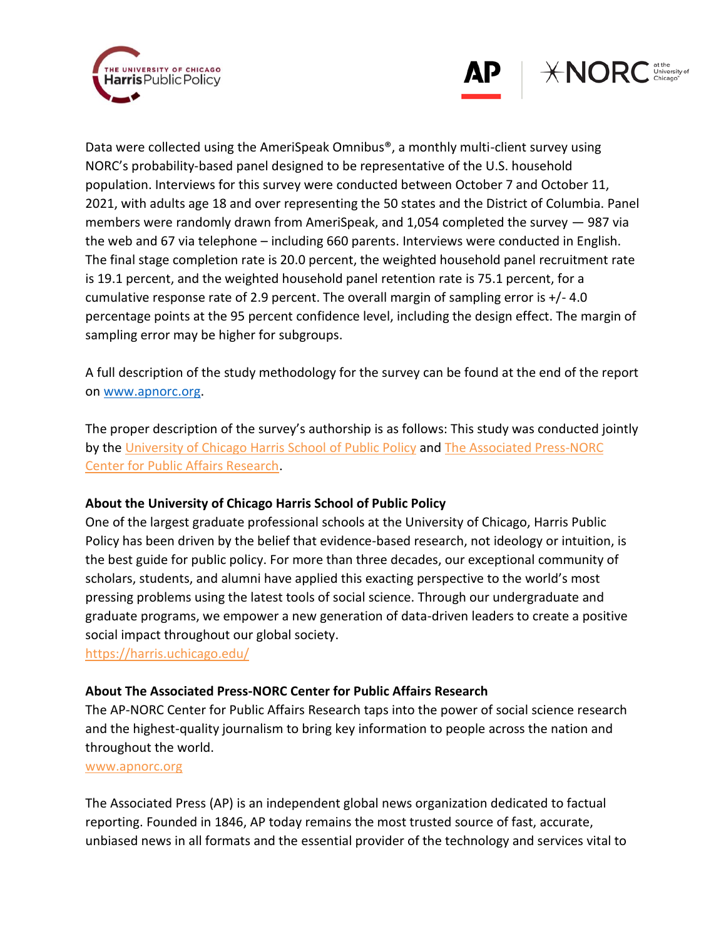



Data were collected using the AmeriSpeak Omnibus®, a monthly multi-client survey using NORC's probability-based panel designed to be representative of the U.S. household population. Interviews for this survey were conducted between October 7 and October 11, 2021, with adults age 18 and over representing the 50 states and the District of Columbia. Panel members were randomly drawn from AmeriSpeak, and 1,054 completed the survey — 987 via the web and 67 via telephone – including 660 parents. Interviews were conducted in English. The final stage completion rate is 20.0 percent, the weighted household panel recruitment rate is 19.1 percent, and the weighted household panel retention rate is 75.1 percent, for a cumulative response rate of 2.9 percent. The overall margin of sampling error is +/- 4.0 percentage points at the 95 percent confidence level, including the design effect. The margin of sampling error may be higher for subgroups.

A full description of the study methodology for the survey can be found at the end of the report on [www.apnorc.org.](http://www.apnorc.org/)

The proper description of the survey's authorship is as follows: This study was conducted jointly by the University of Chicago Harris School of Public Policy and The [Associated Press-NORC](http://apnorc.org/Pages/default.aspx)  [Center for Public Affairs Research.](http://apnorc.org/Pages/default.aspx)

# **About the University of Chicago Harris School of Public Policy**

One of the largest graduate professional schools at the University of Chicago, Harris Public Policy has been driven by the belief that evidence-based research, not ideology or intuition, is the best guide for public policy. For more than three decades, our exceptional community of scholars, students, and alumni have applied this exacting perspective to the world's most pressing problems using the latest tools of social science. Through our undergraduate and graduate programs, we empower a new generation of data-driven leaders to create a positive social impact throughout our global society.

https://harris.uchicago.edu/

## **About The Associated Press-NORC Center for Public Affairs Research**

The AP-NORC Center for Public Affairs Research taps into the power of social science research and the highest-quality journalism to bring key information to people across the nation and throughout the world.

#### [www.apnorc.org](http://www.apnorc.org/)

The Associated Press (AP) is an independent global news organization dedicated to factual reporting. Founded in 1846, AP today remains the most trusted source of fast, accurate, unbiased news in all formats and the essential provider of the technology and services vital to